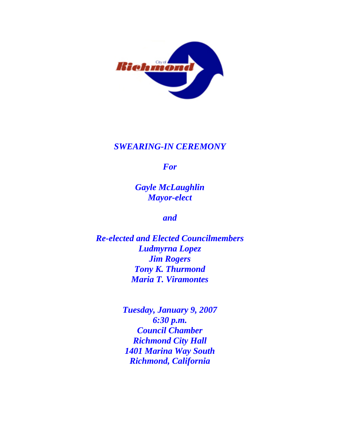

## *SWEARING-IN CEREMONY*

*For* 

*Gayle McLaughlin Mayor-elect* 

*and* 

*Re-elected and Elected Councilmembers Ludmyrna Lopez Jim Rogers Tony K. Thurmond Maria T. Viramontes* 

> *Tuesday, January 9, 2007 6:30 p.m. Council Chamber Richmond City Hall 1401 Marina Way South Richmond, California*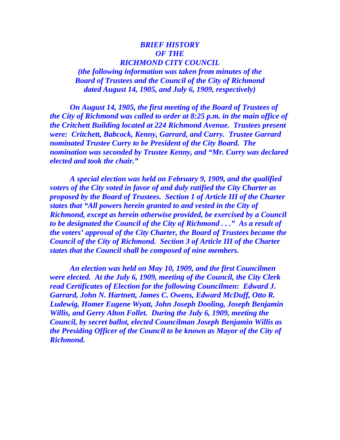#### *BRIEF HISTORY OF THE RICHMOND CITY COUNCIL (the following information was taken from minutes of the*

*Board of Trustees and the Council of the City of Richmond dated August 14, 1905, and July 6, 1909, respectively)* 

 *On August 14, 1905, the first meeting of the Board of Trustees of the City of Richmond was called to order at 8:25 p.m. in the main office of the Critchett Building located at 224 Richmond Avenue. Trustees present were: Critchett, Babcock, Kenny, Garrard, and Curry. Trustee Garrard nominated Trustee Curry to be President of the City Board. The nomination was seconded by Trustee Kenny, and "Mr. Curry was declared elected and took the chair."* 

 *A special election was held on February 9, 1909, and the qualified voters of the City voted in favor of and duly ratified the City Charter as proposed by the Board of Trustees. Section 1 of Article III of the Charter states that "All powers herein granted to and vested in the City of Richmond, except as herein otherwise provided, be exercised by a Council to be designated the Council of the City of Richmond . . ." As a result of the voters' approval of the City Charter, the Board of Trustees became the Council of the City of Richmond. Section 3 of Article III of the Charter states that the Council shall be composed of nine members.* 

 *An election was held on May 10, 1909, and the first Councilmen were elected. At the July 6, 1909, meeting of the Council, the City Clerk read Certificates of Election for the following Councilmen: Edward J. Garrard, John N. Hartnett, James C. Owens, Edward McDuff, Otto R. Ludewig, Homer Eugene Wyatt, John Joseph Dooling, Joseph Benjamin Willis, and Gerry Alton Follet. During the July 6, 1909, meeting the Council, by secret ballot, elected Councilman Joseph Benjamin Willis as the Presiding Officer of the Council to be known as Mayor of the City of Richmond.*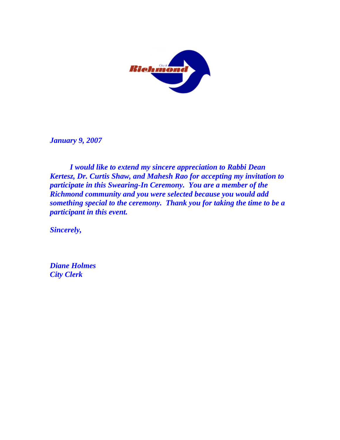

*January 9, 2007* 

 *I would like to extend my sincere appreciation to Rabbi Dean Kertesz, Dr. Curtis Shaw, and Mahesh Rao for accepting my invitation to participate in this Swearing-In Ceremony. You are a member of the Richmond community and you were selected because you would add something special to the ceremony. Thank you for taking the time to be a participant in this event.* 

*Sincerely,* 

*Diane Holmes City Clerk*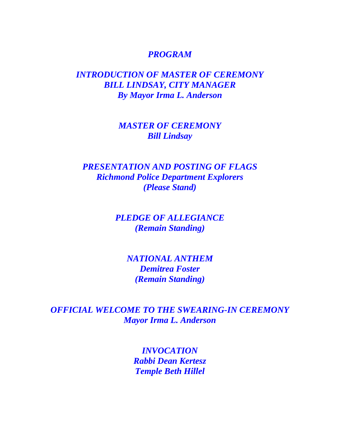#### *PROGRAM*

## *INTRODUCTION OF MASTER OF CEREMONY BILL LINDSAY, CITY MANAGER By Mayor Irma L. Anderson*

## *MASTER OF CEREMONY Bill Lindsay*

# *PRESENTATION AND POSTING OF FLAGS Richmond Police Department Explorers (Please Stand)*

# *PLEDGE OF ALLEGIANCE (Remain Standing)*

*NATIONAL ANTHEM Demitrea Foster (Remain Standing)* 

*OFFICIAL WELCOME TO THE SWEARING-IN CEREMONY Mayor Irma L. Anderson* 

> *INVOCATION Rabbi Dean Kertesz Temple Beth Hillel*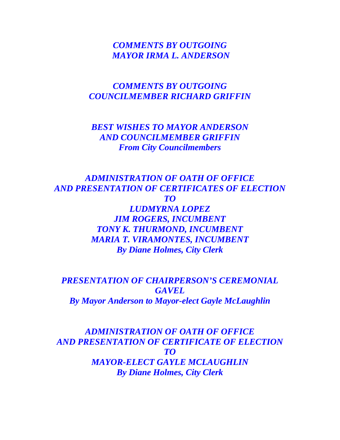## *COMMENTS BY OUTGOING MAYOR IRMA L. ANDERSON*

## *COMMENTS BY OUTGOING COUNCILMEMBER RICHARD GRIFFIN*

## *BEST WISHES TO MAYOR ANDERSON AND COUNCILMEMBER GRIFFIN From City Councilmembers*

*ADMINISTRATION OF OATH OF OFFICE AND PRESENTATION OF CERTIFICATES OF ELECTION TO LUDMYRNA LOPEZ JIM ROGERS, INCUMBENT TONY K. THURMOND, INCUMBENT MARIA T. VIRAMONTES, INCUMBENT By Diane Holmes, City Clerk* 

*PRESENTATION OF CHAIRPERSON'S CEREMONIAL GAVEL By Mayor Anderson to Mayor-elect Gayle McLaughlin* 

*ADMINISTRATION OF OATH OF OFFICE AND PRESENTATION OF CERTIFICATE OF ELECTION TO MAYOR-ELECT GAYLE MCLAUGHLIN By Diane Holmes, City Clerk*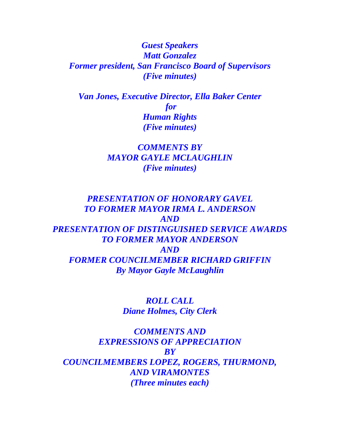*Guest Speakers Matt Gonzalez Former president, San Francisco Board of Supervisors (Five minutes)* 

*Van Jones, Executive Director, Ella Baker Center for Human Rights (Five minutes)* 

> *COMMENTS BY MAYOR GAYLE MCLAUGHLIN (Five minutes)*

*PRESENTATION OF HONORARY GAVEL TO FORMER MAYOR IRMA L. ANDERSON AND PRESENTATION OF DISTINGUISHED SERVICE AWARDS TO FORMER MAYOR ANDERSON AND FORMER COUNCILMEMBER RICHARD GRIFFIN By Mayor Gayle McLaughlin* 

> *ROLL CALL Diane Holmes, City Clerk*

*COMMENTS AND EXPRESSIONS OF APPRECIATION BY COUNCILMEMBERS LOPEZ, ROGERS, THURMOND, AND VIRAMONTES (Three minutes each)*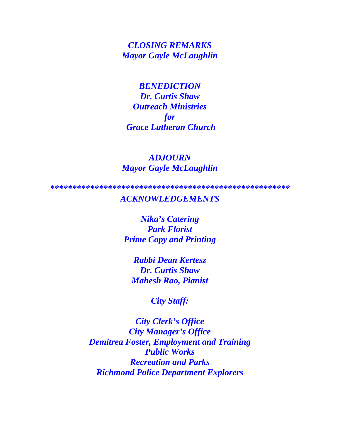*CLOSING REMARKS Mayor Gayle McLaughlin* 

*BENEDICTION Dr. Curtis Shaw Outreach Ministries for Grace Lutheran Church* 

#### *ADJOURN Mayor Gayle McLaughlin*

*\*\*\*\*\*\*\*\*\*\*\*\*\*\*\*\*\*\*\*\*\*\*\*\*\*\*\*\*\*\*\*\*\*\*\*\*\*\*\*\*\*\*\*\*\*\*\*\*\*\*\*\*\*\** 

#### *ACKNOWLEDGEMENTS*

*Nika's Catering Park Florist Prime Copy and Printing* 

*Rabbi Dean Kertesz Dr. Curtis Shaw Mahesh Rao, Pianist* 

*City Staff:* 

*City Clerk's Office City Manager's Office Demitrea Foster, Employment and Training Public Works Recreation and Parks Richmond Police Department Explorers*